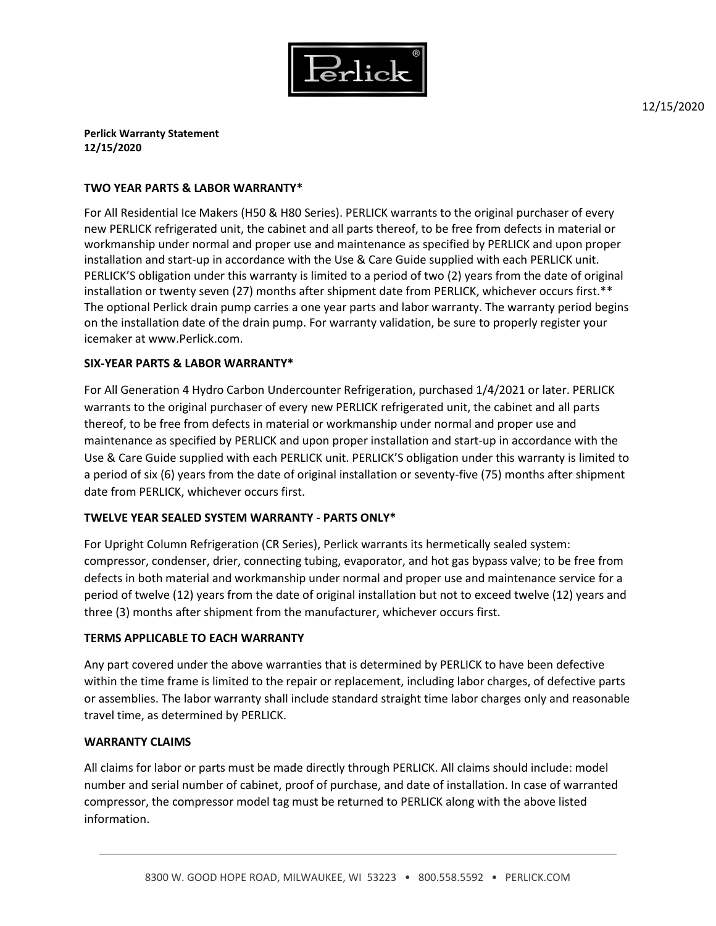

12/15/2020

**Perlick Warranty Statement 12/15/2020**

### **TWO YEAR PARTS & LABOR WARRANTY\***

For All Residential Ice Makers (H50 & H80 Series). PERLICK warrants to the original purchaser of every new PERLICK refrigerated unit, the cabinet and all parts thereof, to be free from defects in material or workmanship under normal and proper use and maintenance as specified by PERLICK and upon proper installation and start-up in accordance with the Use & Care Guide supplied with each PERLICK unit. PERLICK'S obligation under this warranty is limited to a period of two (2) years from the date of original installation or twenty seven (27) months after shipment date from PERLICK, whichever occurs first.\*\* The optional Perlick drain pump carries a one year parts and labor warranty. The warranty period begins on the installation date of the drain pump. For warranty validation, be sure to properly register your icemaker at www.Perlick.com.

# **SIX-YEAR PARTS & LABOR WARRANTY\***

For All Generation 4 Hydro Carbon Undercounter Refrigeration, purchased 1/4/2021 or later. PERLICK warrants to the original purchaser of every new PERLICK refrigerated unit, the cabinet and all parts thereof, to be free from defects in material or workmanship under normal and proper use and maintenance as specified by PERLICK and upon proper installation and start-up in accordance with the Use & Care Guide supplied with each PERLICK unit. PERLICK'S obligation under this warranty is limited to a period of six (6) years from the date of original installation or seventy-five (75) months after shipment date from PERLICK, whichever occurs first.

# **TWELVE YEAR SEALED SYSTEM WARRANTY - PARTS ONLY\***

For Upright Column Refrigeration (CR Series), Perlick warrants its hermetically sealed system: compressor, condenser, drier, connecting tubing, evaporator, and hot gas bypass valve; to be free from defects in both material and workmanship under normal and proper use and maintenance service for a period of twelve (12) years from the date of original installation but not to exceed twelve (12) years and three (3) months after shipment from the manufacturer, whichever occurs first.

#### **TERMS APPLICABLE TO EACH WARRANTY**

Any part covered under the above warranties that is determined by PERLICK to have been defective within the time frame is limited to the repair or replacement, including labor charges, of defective parts or assemblies. The labor warranty shall include standard straight time labor charges only and reasonable travel time, as determined by PERLICK.

# **WARRANTY CLAIMS**

All claims for labor or parts must be made directly through PERLICK. All claims should include: model number and serial number of cabinet, proof of purchase, and date of installation. In case of warranted compressor, the compressor model tag must be returned to PERLICK along with the above listed information.